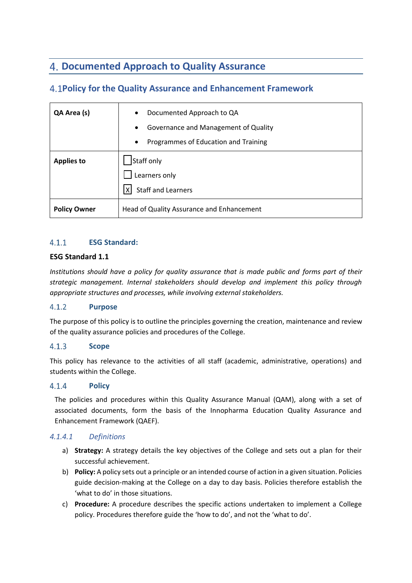# **Documented Approach to Quality Assurance**

## **Policy for the Quality Assurance and Enhancement Framework**

| QA Area (s)         | Documented Approach to QA<br>$\bullet$<br>Governance and Management of Quality<br>$\bullet$ |
|---------------------|---------------------------------------------------------------------------------------------|
|                     | Programmes of Education and Training<br>$\bullet$                                           |
| <b>Applies to</b>   | Staff only<br>Learners only                                                                 |
|                     | <b>Staff and Learners</b><br>x <sub>l</sub>                                                 |
| <b>Policy Owner</b> | Head of Quality Assurance and Enhancement                                                   |

### $4.1.1$ **ESG Standard:**

### **ESG Standard 1.1**

*Institutions should have a policy for quality assurance that is made public and forms part of their strategic management. Internal stakeholders should develop and implement this policy through appropriate structures and processes, while involving external stakeholders.*

### $4.1.2$ **Purpose**

The purpose of this policy is to outline the principles governing the creation, maintenance and review of the quality assurance policies and procedures of the College.

### $4.1.3$ **Scope**

This policy has relevance to the activities of all staff (academic, administrative, operations) and students within the College.

### $4.1.4$ **Policy**

The policies and procedures within this Quality Assurance Manual (QAM), along with a set of associated documents, form the basis of the Innopharma Education Quality Assurance and Enhancement Framework (QAEF).

### *4.1.4.1 Definitions*

- a) **Strategy:** A strategy details the key objectives of the College and sets out a plan for their successful achievement.
- b) **Policy:** A policy sets out a principle or an intended course of action in a given situation. Policies guide decision-making at the College on a day to day basis. Policies therefore establish the 'what to do' in those situations.
- c) **Procedure:** A procedure describes the specific actions undertaken to implement a College policy. Procedures therefore guide the 'how to do', and not the 'what to do'.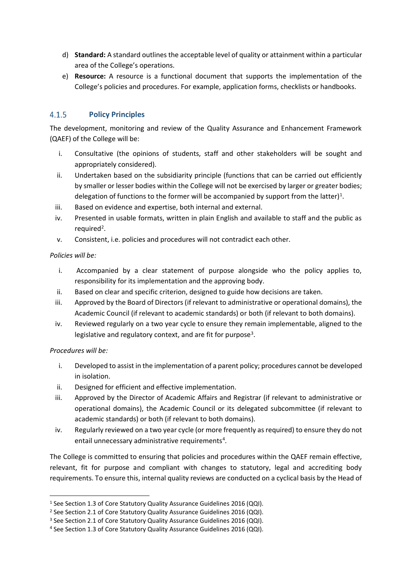- d) **Standard:** A standard outlines the acceptable level of quality or attainment within a particular area of the College's operations.
- e) **Resource:** A resource is a functional document that supports the implementation of the College's policies and procedures. For example, application forms, checklists or handbooks.

#### $4.1.5$ **Policy Principles**

The development, monitoring and review of the Quality Assurance and Enhancement Framework (QAEF) of the College will be:

- i. Consultative (the opinions of students, staff and other stakeholders will be sought and appropriately considered).
- ii. Undertaken based on the subsidiarity principle (functions that can be carried out efficiently by smaller or lesser bodies within the College will not be exercised by larger or greater bodies; delegation of functions to the former will be accompanied by support from the latter)<sup>1</sup>.
- iii. Based on evidence and expertise, both internal and external.
- iv. Presented in usable formats, written in plain English and available to staff and the public as required<sup>2</sup>.
- v. Consistent, i.e. policies and procedures will not contradict each other.

### *Policies will be:*

- i. Accompanied by a clear statement of purpose alongside who the policy applies to, responsibility for its implementation and the approving body.
- ii. Based on clear and specific criterion, designed to guide how decisions are taken.
- iii. Approved by the Board of Directors (if relevant to administrative or operational domains), the Academic Council (if relevant to academic standards) or both (if relevant to both domains).
- iv. Reviewed regularly on a two year cycle to ensure they remain implementable, aligned to the legislative and regulatory context, and are fit for purpose<sup>3</sup>.

### *Procedures will be:*

- i. Developed to assist in the implementation of a parent policy; procedures cannot be developed in isolation.
- ii. Designed for efficient and effective implementation.
- iii. Approved by the Director of Academic Affairs and Registrar (if relevant to administrative or operational domains), the Academic Council or its delegated subcommittee (if relevant to academic standards) or both (if relevant to both domains).
- iv. Regularly reviewed on a two year cycle (or more frequently as required) to ensure they do not entail unnecessary administrative requirements<sup>4</sup>.

The College is committed to ensuring that policies and procedures within the QAEF remain effective, relevant, fit for purpose and compliant with changes to statutory, legal and accrediting body requirements. To ensure this, internal quality reviews are conducted on a cyclical basis by the Head of

<sup>&</sup>lt;sup>1</sup> See Section 1.3 of Core Statutory Quality Assurance Guidelines 2016 (QQI).

<sup>&</sup>lt;sup>2</sup> See Section 2.1 of Core Statutory Quality Assurance Guidelines 2016 (QQI).

<sup>3</sup> See Section 2.1 of Core Statutory Quality Assurance Guidelines 2016 (QQI).

<sup>4</sup> See Section 1.3 of Core Statutory Quality Assurance Guidelines 2016 (QQI).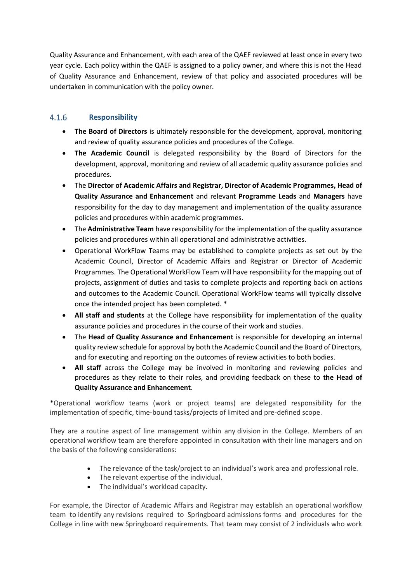Quality Assurance and Enhancement, with each area of the QAEF reviewed at least once in every two year cycle. Each policy within the QAEF is assigned to a policy owner, and where this is not the Head of Quality Assurance and Enhancement, review of that policy and associated procedures will be undertaken in communication with the policy owner.

### $4.1.6$ **Responsibility**

- **The Board of Directors** is ultimately responsible for the development, approval, monitoring and review of quality assurance policies and procedures of the College.
- **The Academic Council** is delegated responsibility by the Board of Directors for the development, approval, monitoring and review of all academic quality assurance policies and procedures.
- The **Director of Academic Affairs and Registrar, Director of Academic Programmes, Head of Quality Assurance and Enhancement** and relevant **Programme Leads** and **Managers** have responsibility for the day to day management and implementation of the quality assurance policies and procedures within academic programmes.
- The **Administrative Team** have responsibility for the implementation of the quality assurance policies and procedures within all operational and administrative activities.
- Operational WorkFlow Teams may be established to complete projects as set out by the Academic Council, Director of Academic Affairs and Registrar or Director of Academic Programmes. The Operational WorkFlow Team will have responsibility for the mapping out of projects, assignment of duties and tasks to complete projects and reporting back on actions and outcomes to the Academic Council. Operational WorkFlow teams will typically dissolve once the intended project has been completed. \*
- **All staff and students** at the College have responsibility for implementation of the quality assurance policies and procedures in the course of their work and studies.
- The **Head of Quality Assurance and Enhancement** is responsible for developing an internal quality review schedule for approval by both the Academic Council and the Board of Directors, and for executing and reporting on the outcomes of review activities to both bodies.
- **All staff** across the College may be involved in monitoring and reviewing policies and procedures as they relate to their roles, and providing feedback on these to **the Head of Quality Assurance and Enhancement**.

\*Operational workflow teams (work or project teams) are delegated responsibility for the implementation of specific, time-bound tasks/projects of limited and pre-defined scope.

They are a routine aspect of line management within any division in the College. Members of an operational workflow team are therefore appointed in consultation with their line managers and on the basis of the following considerations:

- The relevance of the task/project to an individual's work area and professional role.
- The relevant expertise of the individual.
- The individual's workload capacity.

For example, the Director of Academic Affairs and Registrar may establish an operational workflow team to identify any revisions required to Springboard admissions forms and procedures for the College in line with new Springboard requirements. That team may consist of 2 individuals who work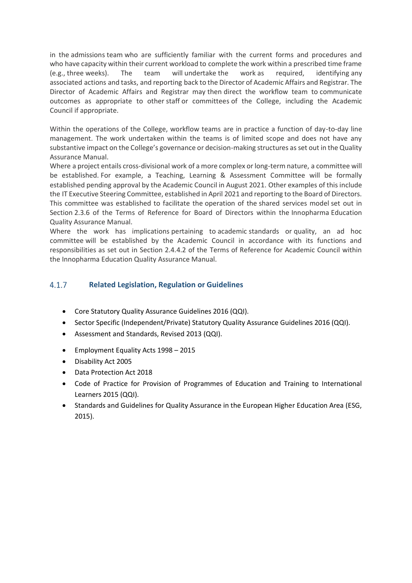in the admissions team who are sufficiently familiar with the current forms and procedures and who have capacity within their current workload to complete the work within a prescribed time frame (e.g., three weeks). The team will undertake the work as required, identifying any associated actions and tasks, and reporting back to the Director of Academic Affairs and Registrar. The Director of Academic Affairs and Registrar may then direct the workflow team to communicate outcomes as appropriate to other staff or committees of the College, including the Academic Council if appropriate.

Within the operations of the College, workflow teams are in practice a function of day-to-day line management. The work undertaken within the teams is of limited scope and does not have any substantive impact on the College's governance or decision-making structures as set out in the Quality Assurance Manual.

Where a project entails cross-divisional work of a more complex or long-term nature, a committee will be established. For example, a Teaching, Learning & Assessment Committee will be formally established pending approval by the Academic Council in August 2021. Other examples of this include the IT Executive Steering Committee, established in April 2021 and reporting to the Board of Directors. This committee was established to facilitate the operation of the shared services model set out in Section 2.3.6 of the Terms of Reference for Board of Directors within the Innopharma Education Quality Assurance Manual.

Where the work has implications pertaining to academic standards or quality, an ad hoc committee will be established by the Academic Council in accordance with its functions and responsibilities as set out in Section 2.4.4.2 of the Terms of Reference for Academic Council within the Innopharma Education Quality Assurance Manual.

#### $4.1.7$ **Related Legislation, Regulation or Guidelines**

- Core Statutory Quality Assurance Guidelines 2016 (QQI).
- Sector Specific (Independent/Private) Statutory Quality Assurance Guidelines 2016 (QQI).
- Assessment and Standards, Revised 2013 (QQI).
- Employment Equality Acts 1998 2015
- Disability Act 2005
- Data Protection Act 2018
- Code of Practice for Provision of Programmes of Education and Training to International Learners 2015 (QQI).
- Standards and Guidelines for Quality Assurance in the European Higher Education Area (ESG, 2015).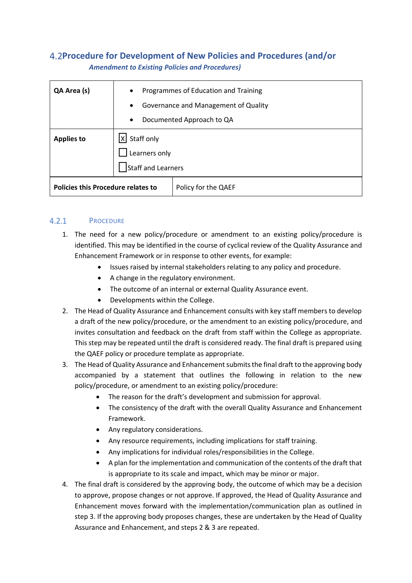## **Procedure for Development of New Policies and Procedures (and/or** *Amendment to Existing Policies and Procedures)*

| QA Area (s)                               | Programmes of Education and Training<br>$\bullet$ |
|-------------------------------------------|---------------------------------------------------|
|                                           | Governance and Management of Quality<br>$\bullet$ |
|                                           | Documented Approach to QA<br>$\bullet$            |
| <b>Applies to</b>                         | Staff only<br>lxI                                 |
|                                           | Learners only                                     |
|                                           | Staff and Learners                                |
| <b>Policies this Procedure relates to</b> | Policy for the QAEF                               |

#### $4.2.1$ **PROCEDURE**

- 1. The need for a new policy/procedure or amendment to an existing policy/procedure is identified. This may be identified in the course of cyclical review of the Quality Assurance and Enhancement Framework or in response to other events, for example:
	- Issues raised by internal stakeholders relating to any policy and procedure.
	- A change in the regulatory environment.
	- The outcome of an internal or external Quality Assurance event.
	- Developments within the College.
- 2. The Head of Quality Assurance and Enhancement consults with key staff members to develop a draft of the new policy/procedure, or the amendment to an existing policy/procedure, and invites consultation and feedback on the draft from staff within the College as appropriate. This step may be repeated until the draft is considered ready. The final draft is prepared using the QAEF policy or procedure template as appropriate.
- 3. The Head of Quality Assurance and Enhancement submits the final draft to the approving body accompanied by a statement that outlines the following in relation to the new policy/procedure, or amendment to an existing policy/procedure:
	- The reason for the draft's development and submission for approval.
	- The consistency of the draft with the overall Quality Assurance and Enhancement Framework.
	- Any regulatory considerations.
	- Any resource requirements, including implications for staff training.
	- Any implications for individual roles/responsibilities in the College.
	- A plan for the implementation and communication of the contents of the draft that is appropriate to its scale and impact, which may be minor or major.
- 4. The final draft is considered by the approving body, the outcome of which may be a decision to approve, propose changes or not approve. If approved, the Head of Quality Assurance and Enhancement moves forward with the implementation/communication plan as outlined in step 3. If the approving body proposes changes, these are undertaken by the Head of Quality Assurance and Enhancement, and steps 2 & 3 are repeated.